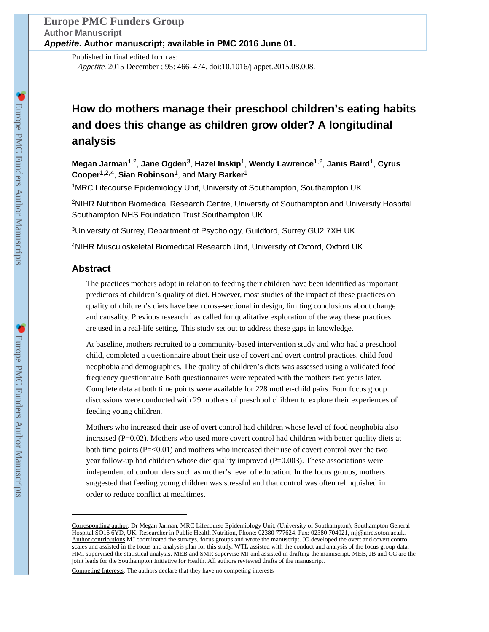Published in final edited form as: Appetite. 2015 December ; 95: 466–474. doi:10.1016/j.appet.2015.08.008.

# **How do mothers manage their preschool children's eating habits and does this change as children grow older? A longitudinal analysis**

**Megan Jarman**1,2, **Jane Ogden**3, **Hazel Inskip**1, **Wendy Lawrence**1,2, **Janis Baird**1, **Cyrus Cooper**1,2,4, **Sian Robinson**1, and **Mary Barker**<sup>1</sup>

<sup>1</sup>MRC Lifecourse Epidemiology Unit, University of Southampton, Southampton UK

<sup>2</sup>NIHR Nutrition Biomedical Research Centre, University of Southampton and University Hospital Southampton NHS Foundation Trust Southampton UK

<sup>3</sup>University of Surrey, Department of Psychology, Guildford, Surrey GU2 7XH UK

<sup>4</sup>NIHR Musculoskeletal Biomedical Research Unit, University of Oxford, Oxford UK

# **Abstract**

The practices mothers adopt in relation to feeding their children have been identified as important predictors of children's quality of diet. However, most studies of the impact of these practices on quality of children's diets have been cross-sectional in design, limiting conclusions about change and causality. Previous research has called for qualitative exploration of the way these practices are used in a real-life setting. This study set out to address these gaps in knowledge.

At baseline, mothers recruited to a community-based intervention study and who had a preschool child, completed a questionnaire about their use of covert and overt control practices, child food neophobia and demographics. The quality of children's diets was assessed using a validated food frequency questionnaire Both questionnaires were repeated with the mothers two years later. Complete data at both time points were available for 228 mother-child pairs. Four focus group discussions were conducted with 29 mothers of preschool children to explore their experiences of feeding young children.

Mothers who increased their use of overt control had children whose level of food neophobia also increased ( $P=0.02$ ). Mothers who used more covert control had children with better quality diets at both time points  $(P=<0.01)$  and mothers who increased their use of covert control over the two year follow-up had children whose diet quality improved (P=0.003). These associations were independent of confounders such as mother's level of education. In the focus groups, mothers suggested that feeding young children was stressful and that control was often relinquished in order to reduce conflict at mealtimes.

Corresponding author: Dr Megan Jarman, MRC Lifecourse Epidemiology Unit, (University of Southampton), Southampton General Hospital SO16 6YD, UK. Researcher in Public Health Nutrition, Phone: 02380 777624. Fax: 02380 704021, mj@mrc.soton.ac.uk. Author contributions MJ coordinated the surveys, focus groups and wrote the manuscript. JO developed the overt and covert control scales and assisted in the focus and analysis plan for this study. WTL assisted with the conduct and analysis of the focus group data. HMI supervised the statistical analysis. MEB and SMR supervise MJ and assisted in drafting the manuscript. MEB, JB and CC are the joint leads for the Southampton Initiative for Health. All authors reviewed drafts of the manuscript.

Competing Interests: The authors declare that they have no competing interests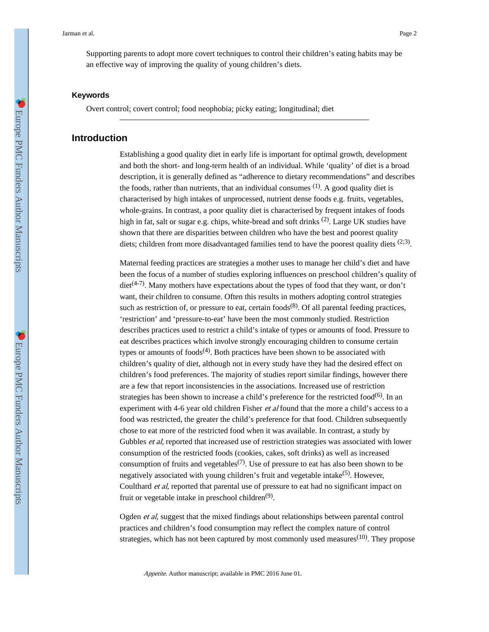Supporting parents to adopt more covert techniques to control their children's eating habits may be an effective way of improving the quality of young children's diets.

#### **Keywords**

Overt control; covert control; food neophobia; picky eating; longitudinal; diet

# **Introduction**

Establishing a good quality diet in early life is important for optimal growth, development and both the short- and long-term health of an individual. While 'quality' of diet is a broad description, it is generally defined as "adherence to dietary recommendations" and describes the foods, rather than nutrients, that an individual consumes  $(1)$ . A good quality diet is characterised by high intakes of unprocessed, nutrient dense foods e.g. fruits, vegetables, whole-grains. In contrast, a poor quality diet is characterised by frequent intakes of foods high in fat, salt or sugar e.g. chips, white-bread and soft drinks <sup>(2)</sup>. Large UK studies have shown that there are disparities between children who have the best and poorest quality diets; children from more disadvantaged families tend to have the poorest quality diets  $(2,3)$ .

Maternal feeding practices are strategies a mother uses to manage her child's diet and have been the focus of a number of studies exploring influences on preschool children's quality of diet<sup>(4-7)</sup>. Many mothers have expectations about the types of food that they want, or don't want, their children to consume. Often this results in mothers adopting control strategies such as restriction of, or pressure to eat, certain  $foods^{(8)}$ . Of all parental feeding practices, 'restriction' and 'pressure-to-eat' have been the most commonly studied. Restriction describes practices used to restrict a child's intake of types or amounts of food. Pressure to eat describes practices which involve strongly encouraging children to consume certain types or amounts of foods $(4)$ . Both practices have been shown to be associated with children's quality of diet, although not in every study have they had the desired effect on children's food preferences. The majority of studies report similar findings, however there are a few that report inconsistencies in the associations. Increased use of restriction strategies has been shown to increase a child's preference for the restricted food $^{(6)}$ . In an experiment with 4-6 year old children Fisher *et al* found that the more a child's access to a food was restricted, the greater the child's preference for that food. Children subsequently chose to eat more of the restricted food when it was available. In contrast, a study by Gubbles *et al*, reported that increased use of restriction strategies was associated with lower consumption of the restricted foods (cookies, cakes, soft drinks) as well as increased consumption of fruits and vegetables<sup> $(7)$ </sup>. Use of pressure to eat has also been shown to be negatively associated with young children's fruit and vegetable intake<sup>(5)</sup>. However, Coulthard *et al*, reported that parental use of pressure to eat had no significant impact on fruit or vegetable intake in preschool children<sup>(9)</sup>.

Ogden et al, suggest that the mixed findings about relationships between parental control practices and children's food consumption may reflect the complex nature of control strategies, which has not been captured by most commonly used measures<sup> $(10)$ </sup>. They propose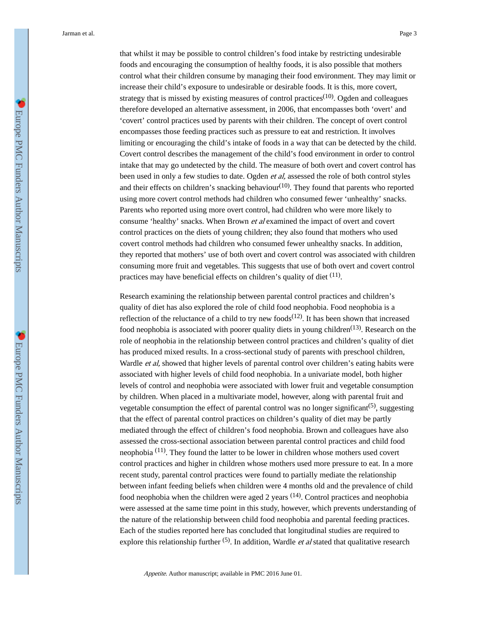that whilst it may be possible to control children's food intake by restricting undesirable foods and encouraging the consumption of healthy foods, it is also possible that mothers control what their children consume by managing their food environment. They may limit or increase their child's exposure to undesirable or desirable foods. It is this, more covert, strategy that is missed by existing measures of control practices<sup> $(10)$ </sup>. Ogden and colleagues therefore developed an alternative assessment, in 2006, that encompasses both 'overt' and 'covert' control practices used by parents with their children. The concept of overt control encompasses those feeding practices such as pressure to eat and restriction. It involves limiting or encouraging the child's intake of foods in a way that can be detected by the child. Covert control describes the management of the child's food environment in order to control intake that may go undetected by the child. The measure of both overt and covert control has been used in only a few studies to date. Ogden *et al*, assessed the role of both control styles and their effects on children's snacking behaviour $(10)$ . They found that parents who reported using more covert control methods had children who consumed fewer 'unhealthy' snacks. Parents who reported using more overt control, had children who were more likely to consume 'healthy' snacks. When Brown et al examined the impact of overt and covert control practices on the diets of young children; they also found that mothers who used covert control methods had children who consumed fewer unhealthy snacks. In addition, they reported that mothers' use of both overt and covert control was associated with children consuming more fruit and vegetables. This suggests that use of both overt and covert control practices may have beneficial effects on children's quality of diet <sup>(11)</sup>.

Research examining the relationship between parental control practices and children's quality of diet has also explored the role of child food neophobia. Food neophobia is a reflection of the reluctance of a child to try new foods<sup> $(12)$ </sup>. It has been shown that increased food neophobia is associated with poorer quality diets in young children<sup> $(13)$ </sup>. Research on the role of neophobia in the relationship between control practices and children's quality of diet has produced mixed results. In a cross-sectional study of parents with preschool children, Wardle *et al*, showed that higher levels of parental control over children's eating habits were associated with higher levels of child food neophobia. In a univariate model, both higher levels of control and neophobia were associated with lower fruit and vegetable consumption by children. When placed in a multivariate model, however, along with parental fruit and vegetable consumption the effect of parental control was no longer significant<sup>(5)</sup>, suggesting that the effect of parental control practices on children's quality of diet may be partly mediated through the effect of children's food neophobia. Brown and colleagues have also assessed the cross-sectional association between parental control practices and child food neophobia  $(11)$ . They found the latter to be lower in children whose mothers used covert control practices and higher in children whose mothers used more pressure to eat. In a more recent study, parental control practices were found to partially mediate the relationship between infant feeding beliefs when children were 4 months old and the prevalence of child food neophobia when the children were aged 2 years <sup>(14)</sup>. Control practices and neophobia were assessed at the same time point in this study, however, which prevents understanding of the nature of the relationship between child food neophobia and parental feeding practices. Each of the studies reported here has concluded that longitudinal studies are required to explore this relationship further  $(5)$ . In addition, Wardle *et al* stated that qualitative research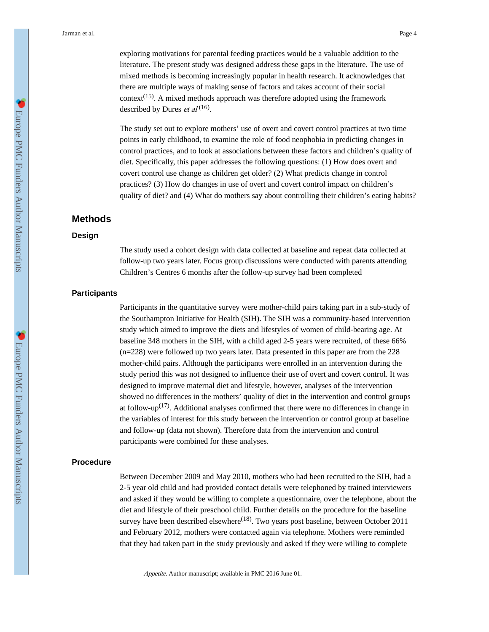exploring motivations for parental feeding practices would be a valuable addition to the literature. The present study was designed address these gaps in the literature. The use of mixed methods is becoming increasingly popular in health research. It acknowledges that there are multiple ways of making sense of factors and takes account of their social context<sup>(15)</sup>. A mixed methods approach was therefore adopted using the framework described by Dures *et al*<sup>(16)</sup>.

The study set out to explore mothers' use of overt and covert control practices at two time points in early childhood, to examine the role of food neophobia in predicting changes in control practices, and to look at associations between these factors and children's quality of diet. Specifically, this paper addresses the following questions: (1) How does overt and covert control use change as children get older? (2) What predicts change in control practices? (3) How do changes in use of overt and covert control impact on children's quality of diet? and (4) What do mothers say about controlling their children's eating habits?

## **Methods**

#### **Design**

The study used a cohort design with data collected at baseline and repeat data collected at follow-up two years later. Focus group discussions were conducted with parents attending Children's Centres 6 months after the follow-up survey had been completed

## **Participants**

Participants in the quantitative survey were mother-child pairs taking part in a sub-study of the Southampton Initiative for Health (SIH). The SIH was a community-based intervention study which aimed to improve the diets and lifestyles of women of child-bearing age. At baseline 348 mothers in the SIH, with a child aged 2-5 years were recruited, of these 66% (n=228) were followed up two years later. Data presented in this paper are from the 228 mother-child pairs. Although the participants were enrolled in an intervention during the study period this was not designed to influence their use of overt and covert control. It was designed to improve maternal diet and lifestyle, however, analyses of the intervention showed no differences in the mothers' quality of diet in the intervention and control groups at follow-up<sup>(17)</sup>. Additional analyses confirmed that there were no differences in change in the variables of interest for this study between the intervention or control group at baseline and follow-up (data not shown). Therefore data from the intervention and control participants were combined for these analyses.

# **Procedure**

Between December 2009 and May 2010, mothers who had been recruited to the SIH, had a 2-5 year old child and had provided contact details were telephoned by trained interviewers and asked if they would be willing to complete a questionnaire, over the telephone, about the diet and lifestyle of their preschool child. Further details on the procedure for the baseline survey have been described elsewhere<sup>(18)</sup>. Two years post baseline, between October 2011 and February 2012, mothers were contacted again via telephone. Mothers were reminded that they had taken part in the study previously and asked if they were willing to complete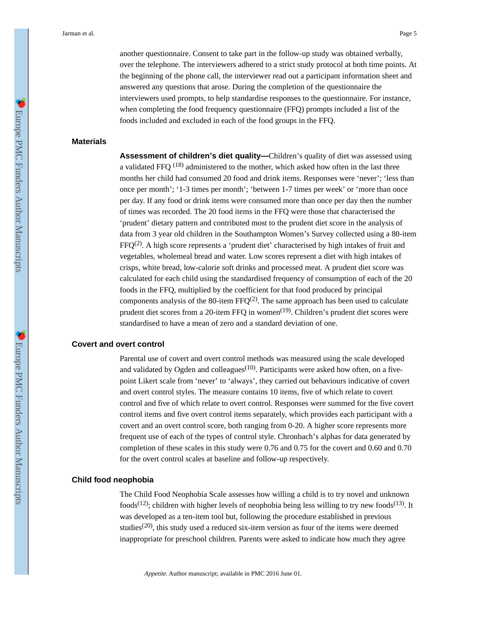another questionnaire. Consent to take part in the follow-up study was obtained verbally, over the telephone. The interviewers adhered to a strict study protocol at both time points. At the beginning of the phone call, the interviewer read out a participant information sheet and answered any questions that arose. During the completion of the questionnaire the interviewers used prompts, to help standardise responses to the questionnaire. For instance, when completing the food frequency questionnaire (FFQ) prompts included a list of the foods included and excluded in each of the food groups in the FFQ.

#### **Materials**

**Assessment of children's diet quality—**Children's quality of diet was assessed using a validated FFQ  $^{(18)}$  administered to the mother, which asked how often in the last three months her child had consumed 20 food and drink items. Responses were 'never'; 'less than once per month'; '1-3 times per month'; 'between 1-7 times per week' or 'more than once per day. If any food or drink items were consumed more than once per day then the number of times was recorded. The 20 food items in the FFQ were those that characterised the 'prudent' dietary pattern and contributed most to the prudent diet score in the analysis of data from 3 year old children in the Southampton Women's Survey collected using a 80-item  $FFQ<sup>(2)</sup>$ . A high score represents a 'prudent diet' characterised by high intakes of fruit and vegetables, wholemeal bread and water. Low scores represent a diet with high intakes of crisps, white bread, low-calorie soft drinks and processed meat. A prudent diet score was calculated for each child using the standardised frequency of consumption of each of the 20 foods in the FFQ, multiplied by the coefficient for that food produced by principal components analysis of the 80-item  $FFQ^{(2)}$ . The same approach has been used to calculate prudent diet scores from a 20-item FFQ in women<sup>(19)</sup>. Children's prudent diet scores were standardised to have a mean of zero and a standard deviation of one.

## **Covert and overt control**

Parental use of covert and overt control methods was measured using the scale developed and validated by Ogden and colleagues<sup>(10)</sup>. Participants were asked how often, on a fivepoint Likert scale from 'never' to 'always', they carried out behaviours indicative of covert and overt control styles. The measure contains 10 items, five of which relate to covert control and five of which relate to overt control. Responses were summed for the five covert control items and five overt control items separately, which provides each participant with a covert and an overt control score, both ranging from 0-20. A higher score represents more frequent use of each of the types of control style. Chronbach's alphas for data generated by completion of these scales in this study were 0.76 and 0.75 for the covert and 0.60 and 0.70 for the overt control scales at baseline and follow-up respectively.

# **Child food neophobia**

The Child Food Neophobia Scale assesses how willing a child is to try novel and unknown foods<sup>(12)</sup>; children with higher levels of neophobia being less willing to try new foods<sup>(13)</sup>. It was developed as a ten-item tool but, following the procedure established in previous studies<sup>(20)</sup>, this study used a reduced six-item version as four of the items were deemed inappropriate for preschool children. Parents were asked to indicate how much they agree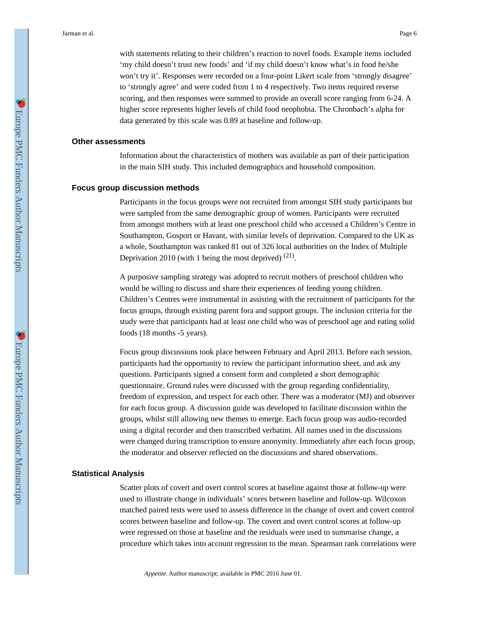with statements relating to their children's reaction to novel foods. Example items included 'my child doesn't trust new foods' and 'if my child doesn't know what's in food he/she won't try it'. Responses were recorded on a four-point Likert scale from 'strongly disagree' to 'strongly agree' and were coded from 1 to 4 respectively. Two items required reverse scoring, and then responses were summed to provide an overall score ranging from 6-24. A higher score represents higher levels of child food neophobia. The Chronbach's alpha for data generated by this scale was 0.89 at baseline and follow-up.

#### **Other assessments**

Information about the characteristics of mothers was available as part of their participation in the main SIH study. This included demographics and household composition.

#### **Focus group discussion methods**

Participants in the focus groups were not recruited from amongst SIH study participants but were sampled from the same demographic group of women. Participants were recruited from amongst mothers with at least one preschool child who accessed a Children's Centre in Southampton, Gosport or Havant, with similar levels of deprivation. Compared to the UK as a whole, Southampton was ranked 81 out of 326 local authorities on the Index of Multiple Deprivation 2010 (with 1 being the most deprived)  $(21)$ .

A purposive sampling strategy was adopted to recruit mothers of preschool children who would be willing to discuss and share their experiences of feeding young children. Children's Centres were instrumental in assisting with the recruitment of participants for the focus groups, through existing parent fora and support groups. The inclusion criteria for the study were that participants had at least one child who was of preschool age and eating solid foods (18 months -5 years).

Focus group discussions took place between February and April 2013. Before each session, participants had the opportunity to review the participant information sheet, and ask any questions. Participants signed a consent form and completed a short demographic questionnaire. Ground rules were discussed with the group regarding confidentiality, freedom of expression, and respect for each other. There was a moderator (MJ) and observer for each focus group. A discussion guide was developed to facilitate discussion within the groups, whilst still allowing new themes to emerge. Each focus group was audio-recorded using a digital recorder and then transcribed verbatim. All names used in the discussions were changed during transcription to ensure anonymity. Immediately after each focus group, the moderator and observer reflected on the discussions and shared observations.

#### **Statistical Analysis**

Scatter plots of covert and overt control scores at baseline against those at follow-up were used to illustrate change in individuals' scores between baseline and follow-up. Wilcoxon matched paired tests were used to assess difference in the change of overt and covert control scores between baseline and follow-up. The covert and overt control scores at follow-up were regressed on those at baseline and the residuals were used to summarise change, a procedure which takes into account regression to the mean. Spearman rank correlations were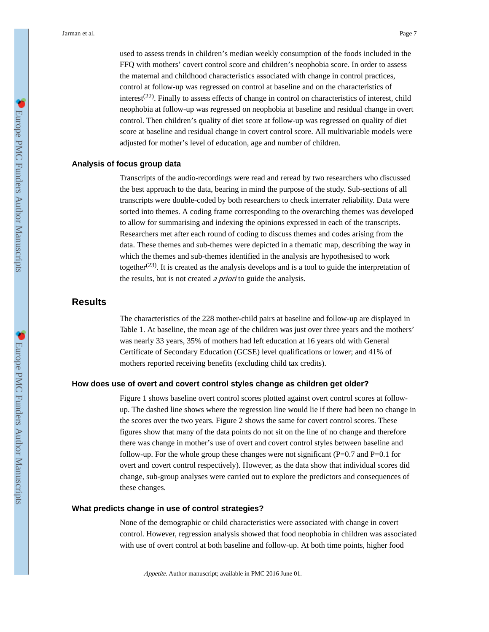used to assess trends in children's median weekly consumption of the foods included in the FFQ with mothers' covert control score and children's neophobia score. In order to assess the maternal and childhood characteristics associated with change in control practices, control at follow-up was regressed on control at baseline and on the characteristics of interest<sup>(22)</sup>. Finally to assess effects of change in control on characteristics of interest, child neophobia at follow-up was regressed on neophobia at baseline and residual change in overt control. Then children's quality of diet score at follow-up was regressed on quality of diet score at baseline and residual change in covert control score. All multivariable models were adjusted for mother's level of education, age and number of children.

# **Analysis of focus group data**

Transcripts of the audio-recordings were read and reread by two researchers who discussed the best approach to the data, bearing in mind the purpose of the study. Sub-sections of all transcripts were double-coded by both researchers to check interrater reliability. Data were sorted into themes. A coding frame corresponding to the overarching themes was developed to allow for summarising and indexing the opinions expressed in each of the transcripts. Researchers met after each round of coding to discuss themes and codes arising from the data. These themes and sub-themes were depicted in a thematic map, describing the way in which the themes and sub-themes identified in the analysis are hypothesised to work together<sup>(23)</sup>. It is created as the analysis develops and is a tool to guide the interpretation of the results, but is not created a priori to guide the analysis.

# **Results**

The characteristics of the 228 mother-child pairs at baseline and follow-up are displayed in Table 1. At baseline, the mean age of the children was just over three years and the mothers' was nearly 33 years, 35% of mothers had left education at 16 years old with General Certificate of Secondary Education (GCSE) level qualifications or lower; and 41% of mothers reported receiving benefits (excluding child tax credits).

# **How does use of overt and covert control styles change as children get older?**

Figure 1 shows baseline overt control scores plotted against overt control scores at followup. The dashed line shows where the regression line would lie if there had been no change in the scores over the two years. Figure 2 shows the same for covert control scores. These figures show that many of the data points do not sit on the line of no change and therefore there was change in mother's use of overt and covert control styles between baseline and follow-up. For the whole group these changes were not significant ( $P=0.7$  and  $P=0.1$  for overt and covert control respectively). However, as the data show that individual scores did change, sub-group analyses were carried out to explore the predictors and consequences of these changes.

#### **What predicts change in use of control strategies?**

None of the demographic or child characteristics were associated with change in covert control. However, regression analysis showed that food neophobia in children was associated with use of overt control at both baseline and follow-up. At both time points, higher food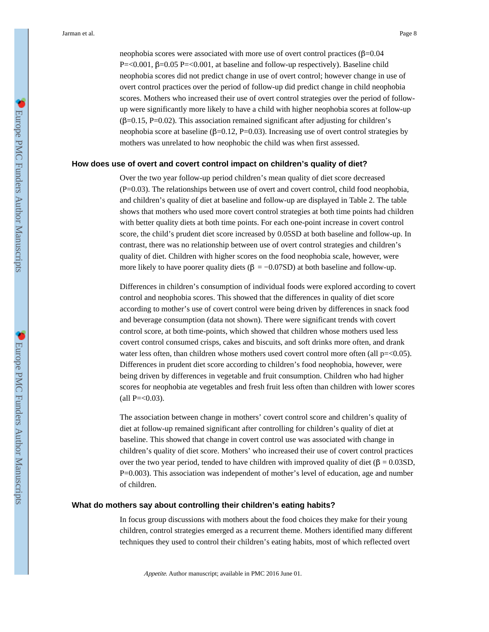neophobia scores were associated with more use of overt control practices (β=0.04 P=<0.001, β=0.05 P=<0.001, at baseline and follow-up respectively). Baseline child neophobia scores did not predict change in use of overt control; however change in use of overt control practices over the period of follow-up did predict change in child neophobia scores. Mothers who increased their use of overt control strategies over the period of followup were significantly more likely to have a child with higher neophobia scores at follow-up  $(\beta=0.15, P=0.02)$ . This association remained significant after adjusting for children's neophobia score at baseline (β=0.12, P=0.03). Increasing use of overt control strategies by mothers was unrelated to how neophobic the child was when first assessed.

#### **How does use of overt and covert control impact on children's quality of diet?**

Over the two year follow-up period children's mean quality of diet score decreased (P=0.03). The relationships between use of overt and covert control, child food neophobia, and children's quality of diet at baseline and follow-up are displayed in Table 2. The table shows that mothers who used more covert control strategies at both time points had children with better quality diets at both time points. For each one-point increase in covert control score, the child's prudent diet score increased by 0.05SD at both baseline and follow-up. In contrast, there was no relationship between use of overt control strategies and children's quality of diet. Children with higher scores on the food neophobia scale, however, were more likely to have poorer quality diets (β =  $-0.07SD$ ) at both baseline and follow-up.

Differences in children's consumption of individual foods were explored according to covert control and neophobia scores. This showed that the differences in quality of diet score according to mother's use of covert control were being driven by differences in snack food and beverage consumption (data not shown). There were significant trends with covert control score, at both time-points, which showed that children whose mothers used less covert control consumed crisps, cakes and biscuits, and soft drinks more often, and drank water less often, than children whose mothers used covert control more often (all  $p=<0.05$ ). Differences in prudent diet score according to children's food neophobia, however, were being driven by differences in vegetable and fruit consumption. Children who had higher scores for neophobia ate vegetables and fresh fruit less often than children with lower scores  $\text{(all P=&0.03)}.$ 

The association between change in mothers' covert control score and children's quality of diet at follow-up remained significant after controlling for children's quality of diet at baseline. This showed that change in covert control use was associated with change in children's quality of diet score. Mothers' who increased their use of covert control practices over the two year period, tended to have children with improved quality of diet ( $\beta = 0.03SD$ , P=0.003). This association was independent of mother's level of education, age and number of children.

#### **What do mothers say about controlling their children's eating habits?**

In focus group discussions with mothers about the food choices they make for their young children, control strategies emerged as a recurrent theme. Mothers identified many different techniques they used to control their children's eating habits, most of which reflected overt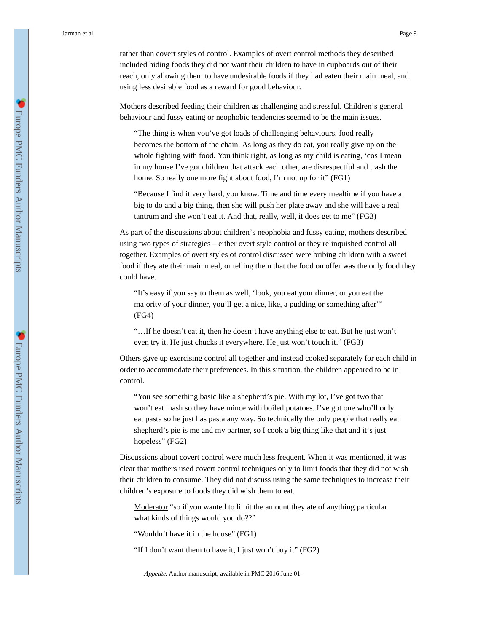rather than covert styles of control. Examples of overt control methods they described included hiding foods they did not want their children to have in cupboards out of their reach, only allowing them to have undesirable foods if they had eaten their main meal, and using less desirable food as a reward for good behaviour.

Mothers described feeding their children as challenging and stressful. Children's general behaviour and fussy eating or neophobic tendencies seemed to be the main issues.

"The thing is when you've got loads of challenging behaviours, food really becomes the bottom of the chain. As long as they do eat, you really give up on the whole fighting with food. You think right, as long as my child is eating, 'cos I mean in my house I've got children that attack each other, are disrespectful and trash the home. So really one more fight about food, I'm not up for it" (FG1)

"Because I find it very hard, you know. Time and time every mealtime if you have a big to do and a big thing, then she will push her plate away and she will have a real tantrum and she won't eat it. And that, really, well, it does get to me" (FG3)

As part of the discussions about children's neophobia and fussy eating, mothers described using two types of strategies – either overt style control or they relinquished control all together. Examples of overt styles of control discussed were bribing children with a sweet food if they ate their main meal, or telling them that the food on offer was the only food they could have.

"It's easy if you say to them as well, 'look, you eat your dinner, or you eat the majority of your dinner, you'll get a nice, like, a pudding or something after'" (FG4)

"…If he doesn't eat it, then he doesn't have anything else to eat. But he just won't even try it. He just chucks it everywhere. He just won't touch it." (FG3)

Others gave up exercising control all together and instead cooked separately for each child in order to accommodate their preferences. In this situation, the children appeared to be in control.

"You see something basic like a shepherd's pie. With my lot, I've got two that won't eat mash so they have mince with boiled potatoes. I've got one who'll only eat pasta so he just has pasta any way. So technically the only people that really eat shepherd's pie is me and my partner, so I cook a big thing like that and it's just hopeless" (FG2)

Discussions about covert control were much less frequent. When it was mentioned, it was clear that mothers used covert control techniques only to limit foods that they did not wish their children to consume. They did not discuss using the same techniques to increase their children's exposure to foods they did wish them to eat.

Moderator "so if you wanted to limit the amount they ate of anything particular what kinds of things would you do??"

"Wouldn't have it in the house" (FG1)

"If I don't want them to have it, I just won't buy it" (FG2)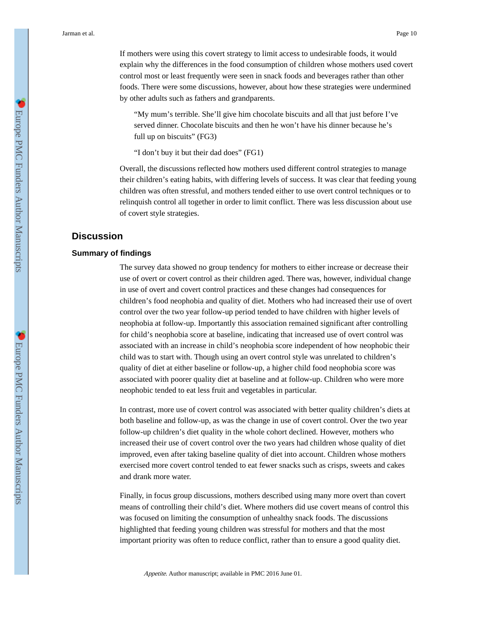If mothers were using this covert strategy to limit access to undesirable foods, it would explain why the differences in the food consumption of children whose mothers used covert control most or least frequently were seen in snack foods and beverages rather than other foods. There were some discussions, however, about how these strategies were undermined by other adults such as fathers and grandparents.

"My mum's terrible. She'll give him chocolate biscuits and all that just before I've served dinner. Chocolate biscuits and then he won't have his dinner because he's full up on biscuits" (FG3)

"I don't buy it but their dad does" (FG1)

Overall, the discussions reflected how mothers used different control strategies to manage their children's eating habits, with differing levels of success. It was clear that feeding young children was often stressful, and mothers tended either to use overt control techniques or to relinquish control all together in order to limit conflict. There was less discussion about use of covert style strategies.

# **Discussion**

# **Summary of findings**

The survey data showed no group tendency for mothers to either increase or decrease their use of overt or covert control as their children aged. There was, however, individual change in use of overt and covert control practices and these changes had consequences for children's food neophobia and quality of diet. Mothers who had increased their use of overt control over the two year follow-up period tended to have children with higher levels of neophobia at follow-up. Importantly this association remained significant after controlling for child's neophobia score at baseline, indicating that increased use of overt control was associated with an increase in child's neophobia score independent of how neophobic their child was to start with. Though using an overt control style was unrelated to children's quality of diet at either baseline or follow-up, a higher child food neophobia score was associated with poorer quality diet at baseline and at follow-up. Children who were more neophobic tended to eat less fruit and vegetables in particular.

In contrast, more use of covert control was associated with better quality children's diets at both baseline and follow-up, as was the change in use of covert control. Over the two year follow-up children's diet quality in the whole cohort declined. However, mothers who increased their use of covert control over the two years had children whose quality of diet improved, even after taking baseline quality of diet into account. Children whose mothers exercised more covert control tended to eat fewer snacks such as crisps, sweets and cakes and drank more water.

Finally, in focus group discussions, mothers described using many more overt than covert means of controlling their child's diet. Where mothers did use covert means of control this was focused on limiting the consumption of unhealthy snack foods. The discussions highlighted that feeding young children was stressful for mothers and that the most important priority was often to reduce conflict, rather than to ensure a good quality diet.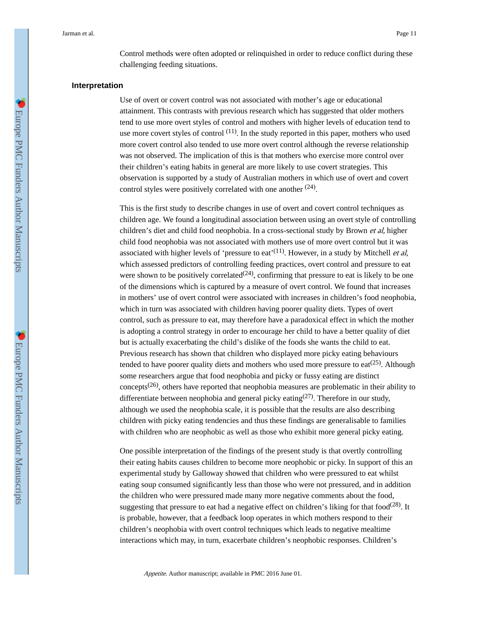Control methods were often adopted or relinquished in order to reduce conflict during these challenging feeding situations.

#### **Interpretation**

Use of overt or covert control was not associated with mother's age or educational attainment. This contrasts with previous research which has suggested that older mothers tend to use more overt styles of control and mothers with higher levels of education tend to use more covert styles of control  $(11)$ . In the study reported in this paper, mothers who used more covert control also tended to use more overt control although the reverse relationship was not observed. The implication of this is that mothers who exercise more control over their children's eating habits in general are more likely to use covert strategies. This observation is supported by a study of Australian mothers in which use of overt and covert control styles were positively correlated with one another  $(24)$ .

This is the first study to describe changes in use of overt and covert control techniques as children age. We found a longitudinal association between using an overt style of controlling children's diet and child food neophobia. In a cross-sectional study by Brown et al, higher child food neophobia was not associated with mothers use of more overt control but it was associated with higher levels of 'pressure to eat'<sup>(11)</sup>. However, in a study by Mitchell *et al*, which assessed predictors of controlling feeding practices, overt control and pressure to eat were shown to be positively correlated  $(24)$ , confirming that pressure to eat is likely to be one of the dimensions which is captured by a measure of overt control. We found that increases in mothers' use of overt control were associated with increases in children's food neophobia, which in turn was associated with children having poorer quality diets. Types of overt control, such as pressure to eat, may therefore have a paradoxical effect in which the mother is adopting a control strategy in order to encourage her child to have a better quality of diet but is actually exacerbating the child's dislike of the foods she wants the child to eat. Previous research has shown that children who displayed more picky eating behaviours tended to have poorer quality diets and mothers who used more pressure to eat<sup>(25)</sup>. Although some researchers argue that food neophobia and picky or fussy eating are distinct concepts<sup> $(26)$ </sup>, others have reported that neophobia measures are problematic in their ability to differentiate between neophobia and general picky eating  $(27)$ . Therefore in our study, although we used the neophobia scale, it is possible that the results are also describing children with picky eating tendencies and thus these findings are generalisable to families with children who are neophobic as well as those who exhibit more general picky eating.

One possible interpretation of the findings of the present study is that overtly controlling their eating habits causes children to become more neophobic or picky. In support of this an experimental study by Galloway showed that children who were pressured to eat whilst eating soup consumed significantly less than those who were not pressured, and in addition the children who were pressured made many more negative comments about the food, suggesting that pressure to eat had a negative effect on children's liking for that food<sup> $(28)$ </sup>. It is probable, however, that a feedback loop operates in which mothers respond to their children's neophobia with overt control techniques which leads to negative mealtime interactions which may, in turn, exacerbate children's neophobic responses. Children's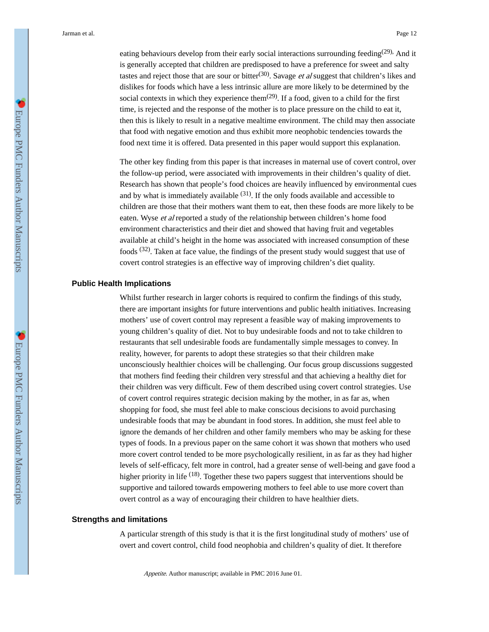eating behaviours develop from their early social interactions surrounding feeding<sup>(29)</sup>. And it is generally accepted that children are predisposed to have a preference for sweet and salty tastes and reject those that are sour or bitter<sup>(30)</sup>. Savage *et al* suggest that children's likes and dislikes for foods which have a less intrinsic allure are more likely to be determined by the social contexts in which they experience them<sup> $(29)$ </sup>. If a food, given to a child for the first time, is rejected and the response of the mother is to place pressure on the child to eat it, then this is likely to result in a negative mealtime environment. The child may then associate that food with negative emotion and thus exhibit more neophobic tendencies towards the food next time it is offered. Data presented in this paper would support this explanation.

The other key finding from this paper is that increases in maternal use of covert control, over the follow-up period, were associated with improvements in their children's quality of diet. Research has shown that people's food choices are heavily influenced by environmental cues and by what is immediately available  $(31)$ . If the only foods available and accessible to children are those that their mothers want them to eat, then these foods are more likely to be eaten. Wyse et al reported a study of the relationship between children's home food environment characteristics and their diet and showed that having fruit and vegetables available at child's height in the home was associated with increased consumption of these foods <sup>(32)</sup>. Taken at face value, the findings of the present study would suggest that use of covert control strategies is an effective way of improving children's diet quality.

#### **Public Health Implications**

Whilst further research in larger cohorts is required to confirm the findings of this study, there are important insights for future interventions and public health initiatives. Increasing mothers' use of covert control may represent a feasible way of making improvements to young children's quality of diet. Not to buy undesirable foods and not to take children to restaurants that sell undesirable foods are fundamentally simple messages to convey. In reality, however, for parents to adopt these strategies so that their children make unconsciously healthier choices will be challenging. Our focus group discussions suggested that mothers find feeding their children very stressful and that achieving a healthy diet for their children was very difficult. Few of them described using covert control strategies. Use of covert control requires strategic decision making by the mother, in as far as, when shopping for food, she must feel able to make conscious decisions to avoid purchasing undesirable foods that may be abundant in food stores. In addition, she must feel able to ignore the demands of her children and other family members who may be asking for these types of foods. In a previous paper on the same cohort it was shown that mothers who used more covert control tended to be more psychologically resilient, in as far as they had higher levels of self-efficacy, felt more in control, had a greater sense of well-being and gave food a higher priority in life <sup>(18)</sup>. Together these two papers suggest that interventions should be supportive and tailored towards empowering mothers to feel able to use more covert than overt control as a way of encouraging their children to have healthier diets.

#### **Strengths and limitations**

A particular strength of this study is that it is the first longitudinal study of mothers' use of overt and covert control, child food neophobia and children's quality of diet. It therefore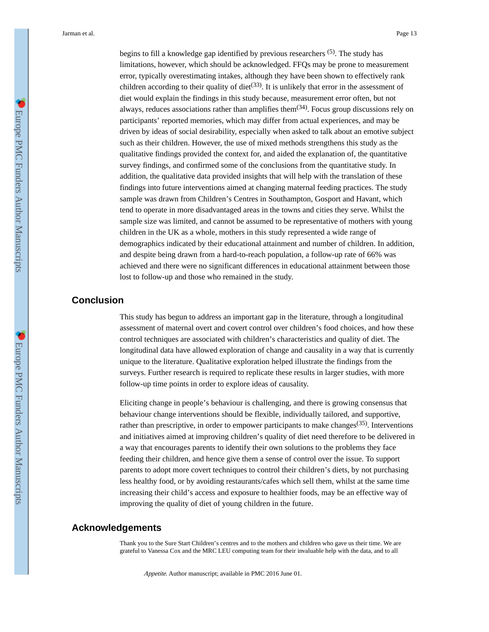begins to fill a knowledge gap identified by previous researchers <sup>(5)</sup>. The study has limitations, however, which should be acknowledged. FFQs may be prone to measurement error, typically overestimating intakes, although they have been shown to effectively rank children according to their quality of diet<sup> $(33)$ </sup>. It is unlikely that error in the assessment of diet would explain the findings in this study because, measurement error often, but not always, reduces associations rather than amplifies them $(34)$ . Focus group discussions rely on participants' reported memories, which may differ from actual experiences, and may be driven by ideas of social desirability, especially when asked to talk about an emotive subject such as their children. However, the use of mixed methods strengthens this study as the qualitative findings provided the context for, and aided the explanation of, the quantitative survey findings, and confirmed some of the conclusions from the quantitative study. In addition, the qualitative data provided insights that will help with the translation of these findings into future interventions aimed at changing maternal feeding practices. The study sample was drawn from Children's Centres in Southampton, Gosport and Havant, which tend to operate in more disadvantaged areas in the towns and cities they serve. Whilst the sample size was limited, and cannot be assumed to be representative of mothers with young children in the UK as a whole, mothers in this study represented a wide range of demographics indicated by their educational attainment and number of children. In addition, and despite being drawn from a hard-to-reach population, a follow-up rate of 66% was achieved and there were no significant differences in educational attainment between those lost to follow-up and those who remained in the study.

# **Conclusion**

This study has begun to address an important gap in the literature, through a longitudinal assessment of maternal overt and covert control over children's food choices, and how these control techniques are associated with children's characteristics and quality of diet. The longitudinal data have allowed exploration of change and causality in a way that is currently unique to the literature. Qualitative exploration helped illustrate the findings from the surveys. Further research is required to replicate these results in larger studies, with more follow-up time points in order to explore ideas of causality.

Eliciting change in people's behaviour is challenging, and there is growing consensus that behaviour change interventions should be flexible, individually tailored, and supportive, rather than prescriptive, in order to empower participants to make changes<sup> $(35)$ </sup>. Interventions and initiatives aimed at improving children's quality of diet need therefore to be delivered in a way that encourages parents to identify their own solutions to the problems they face feeding their children, and hence give them a sense of control over the issue. To support parents to adopt more covert techniques to control their children's diets, by not purchasing less healthy food, or by avoiding restaurants/cafes which sell them, whilst at the same time increasing their child's access and exposure to healthier foods, may be an effective way of improving the quality of diet of young children in the future.

# **Acknowledgements**

Thank you to the Sure Start Children's centres and to the mothers and children who gave us their time. We are grateful to Vanessa Cox and the MRC LEU computing team for their invaluable help with the data, and to all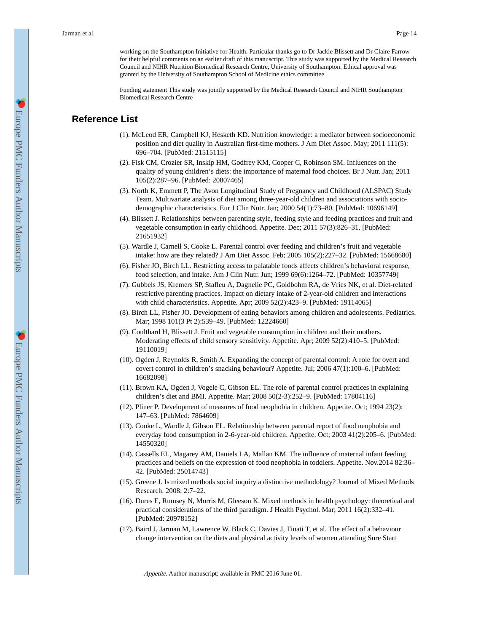working on the Southampton Initiative for Health. Particular thanks go to Dr Jackie Blissett and Dr Claire Farrow for their helpful comments on an earlier draft of this manuscript. This study was supported by the Medical Research Council and NIHR Nutrition Biomedical Research Centre, University of Southampton. Ethical approval was granted by the University of Southampton School of Medicine ethics committee

Funding statement This study was jointly supported by the Medical Research Council and NIHR Southampton Biomedical Research Centre

# **Reference List**

- (1). McLeod ER, Campbell KJ, Hesketh KD. Nutrition knowledge: a mediator between socioeconomic position and diet quality in Australian first-time mothers. J Am Diet Assoc. May; 2011 111(5): 696–704. [PubMed: 21515115]
- (2). Fisk CM, Crozier SR, Inskip HM, Godfrey KM, Cooper C, Robinson SM. Influences on the quality of young children's diets: the importance of maternal food choices. Br J Nutr. Jan; 2011 105(2):287–96. [PubMed: 20807465]
- (3). North K, Emmett P, The Avon Longitudinal Study of Pregnancy and Childhood (ALSPAC) Study Team. Multivariate analysis of diet among three-year-old children and associations with sociodemographic characteristics. Eur J Clin Nutr. Jan; 2000 54(1):73–80. [PubMed: 10696149]
- (4). Blissett J. Relationships between parenting style, feeding style and feeding practices and fruit and vegetable consumption in early childhood. Appetite. Dec; 2011 57(3):826–31. [PubMed: 21651932]
- (5). Wardle J, Carnell S, Cooke L. Parental control over feeding and children's fruit and vegetable intake: how are they related? J Am Diet Assoc. Feb; 2005 105(2):227–32. [PubMed: 15668680]
- (6). Fisher JO, Birch LL. Restricting access to palatable foods affects children's behavioral response, food selection, and intake. Am J Clin Nutr. Jun; 1999 69(6):1264–72. [PubMed: 10357749]
- (7). Gubbels JS, Kremers SP, Stafleu A, Dagnelie PC, Goldbohm RA, de Vries NK, et al. Diet-related restrictive parenting practices. Impact on dietary intake of 2-year-old children and interactions with child characteristics. Appetite. Apr; 2009 52(2):423–9. [PubMed: 19114065]
- (8). Birch LL, Fisher JO. Development of eating behaviors among children and adolescents. Pediatrics. Mar; 1998 101(3 Pt 2):539–49. [PubMed: 12224660]
- (9). Coulthard H, Blissett J. Fruit and vegetable consumption in children and their mothers. Moderating effects of child sensory sensitivity. Appetite. Apr; 2009 52(2):410–5. [PubMed: 19110019]
- (10). Ogden J, Reynolds R, Smith A. Expanding the concept of parental control: A role for overt and covert control in children's snacking behaviour? Appetite. Jul; 2006 47(1):100–6. [PubMed: 16682098]
- (11). Brown KA, Ogden J, Vogele C, Gibson EL. The role of parental control practices in explaining children's diet and BMI. Appetite. Mar; 2008 50(2-3):252–9. [PubMed: 17804116]
- (12). Pliner P. Development of measures of food neophobia in children. Appetite. Oct; 1994 23(2): 147–63. [PubMed: 7864609]
- (13). Cooke L, Wardle J, Gibson EL. Relationship between parental report of food neophobia and everyday food consumption in 2-6-year-old children. Appetite. Oct; 2003 41(2):205–6. [PubMed: 14550320]
- (14). Cassells EL, Magarey AM, Daniels LA, Mallan KM. The influence of maternal infant feeding practices and beliefs on the expression of food neophobia in toddlers. Appetite. Nov.2014 82:36– 42. [PubMed: 25014743]
- (15). Greene J. Is mixed methods social inquiry a distinctive methodology? Journal of Mixed Methods Research. 2008; 2:7–22.
- (16). Dures E, Rumsey N, Morris M, Gleeson K. Mixed methods in health psychology: theoretical and practical considerations of the third paradigm. J Health Psychol. Mar; 2011 16(2):332–41. [PubMed: 20978152]
- (17). Baird J, Jarman M, Lawrence W, Black C, Davies J, Tinati T, et al. The effect of a behaviour change intervention on the diets and physical activity levels of women attending Sure Start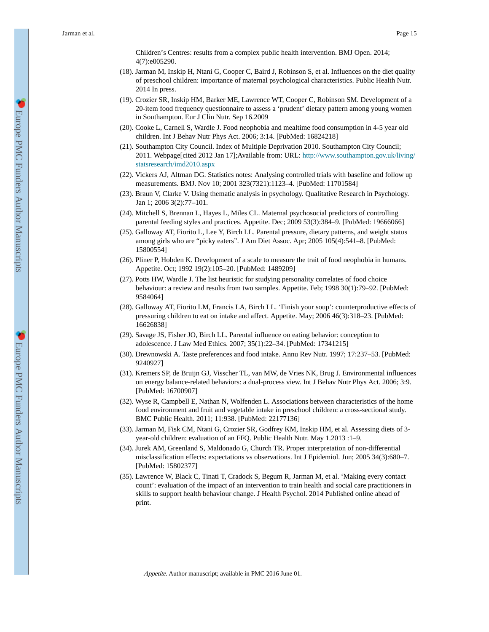Children's Centres: results from a complex public health intervention. BMJ Open. 2014; 4(7):e005290.

- (18). Jarman M, Inskip H, Ntani G, Cooper C, Baird J, Robinson S, et al. Influences on the diet quality of preschool children: importance of maternal psychological characteristics. Public Health Nutr. 2014 In press.
- (19). Crozier SR, Inskip HM, Barker ME, Lawrence WT, Cooper C, Robinson SM. Development of a 20-item food frequency questionnaire to assess a 'prudent' dietary pattern among young women in Southampton. Eur J Clin Nutr. Sep 16.2009
- (20). Cooke L, Carnell S, Wardle J. Food neophobia and mealtime food consumption in 4-5 year old children. Int J Behav Nutr Phys Act. 2006; 3:14. [PubMed: 16824218]
- (21). Southampton City Council. Index of Multiple Deprivation 2010. Southampton City Council; 2011. Webpage[cited 2012 Jan 17];Available from: URL: [http://www.southampton.gov.uk/living/](http://www.southampton.gov.uk/living/statsresearch/imd2010.aspx) [statsresearch/imd2010.aspx](http://www.southampton.gov.uk/living/statsresearch/imd2010.aspx)
- (22). Vickers AJ, Altman DG. Statistics notes: Analysing controlled trials with baseline and follow up measurements. BMJ. Nov 10; 2001 323(7321):1123–4. [PubMed: 11701584]
- (23). Braun V, Clarke V. Using thematic analysis in psychology. Qualitative Research in Psychology. Jan 1; 2006 3(2):77–101.
- (24). Mitchell S, Brennan L, Hayes L, Miles CL. Maternal psychosocial predictors of controlling parental feeding styles and practices. Appetite. Dec; 2009 53(3):384–9. [PubMed: 19666066]
- (25). Galloway AT, Fiorito L, Lee Y, Birch LL. Parental pressure, dietary patterns, and weight status among girls who are "picky eaters". J Am Diet Assoc. Apr; 2005 105(4):541–8. [PubMed: 15800554]
- (26). Pliner P, Hobden K. Development of a scale to measure the trait of food neophobia in humans. Appetite. Oct; 1992 19(2):105–20. [PubMed: 1489209]
- (27). Potts HW, Wardle J. The list heuristic for studying personality correlates of food choice behaviour: a review and results from two samples. Appetite. Feb; 1998 30(1):79–92. [PubMed: 9584064]
- (28). Galloway AT, Fiorito LM, Francis LA, Birch LL. 'Finish your soup': counterproductive effects of pressuring children to eat on intake and affect. Appetite. May; 2006 46(3):318–23. [PubMed: 16626838]
- (29). Savage JS, Fisher JO, Birch LL. Parental influence on eating behavior: conception to adolescence. J Law Med Ethics. 2007; 35(1):22–34. [PubMed: 17341215]
- (30). Drewnowski A. Taste preferences and food intake. Annu Rev Nutr. 1997; 17:237–53. [PubMed: 9240927]
- (31). Kremers SP, de Bruijn GJ, Visscher TL, van MW, de Vries NK, Brug J. Environmental influences on energy balance-related behaviors: a dual-process view. Int J Behav Nutr Phys Act. 2006; 3:9. [PubMed: 16700907]
- (32). Wyse R, Campbell E, Nathan N, Wolfenden L. Associations between characteristics of the home food environment and fruit and vegetable intake in preschool children: a cross-sectional study. BMC Public Health. 2011; 11:938. [PubMed: 22177136]
- (33). Jarman M, Fisk CM, Ntani G, Crozier SR, Godfrey KM, Inskip HM, et al. Assessing diets of 3 year-old children: evaluation of an FFQ. Public Health Nutr. May 1.2013 :1–9.
- (34). Jurek AM, Greenland S, Maldonado G, Church TR. Proper interpretation of non-differential misclassification effects: expectations vs observations. Int J Epidemiol. Jun; 2005 34(3):680–7. [PubMed: 15802377]
- (35). Lawrence W, Black C, Tinati T, Cradock S, Begum R, Jarman M, et al. 'Making every contact count': evaluation of the impact of an intervention to train health and social care practitioners in skills to support health behaviour change. J Health Psychol. 2014 Published online ahead of print.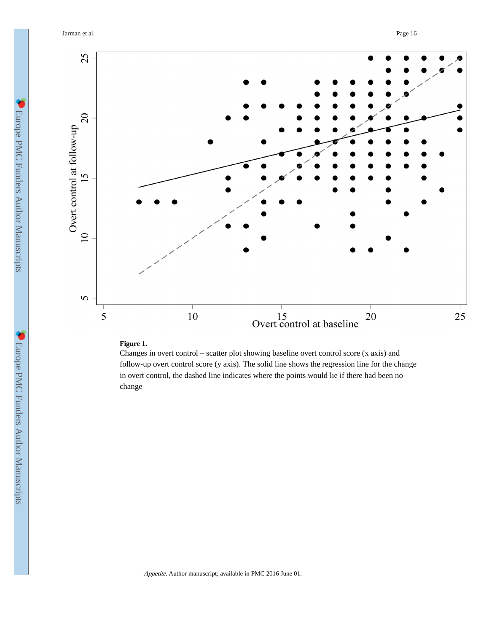

# **Figure 1.**

Changes in overt control – scatter plot showing baseline overt control score (x axis) and follow-up overt control score (y axis). The solid line shows the regression line for the change in overt control, the dashed line indicates where the points would lie if there had been no change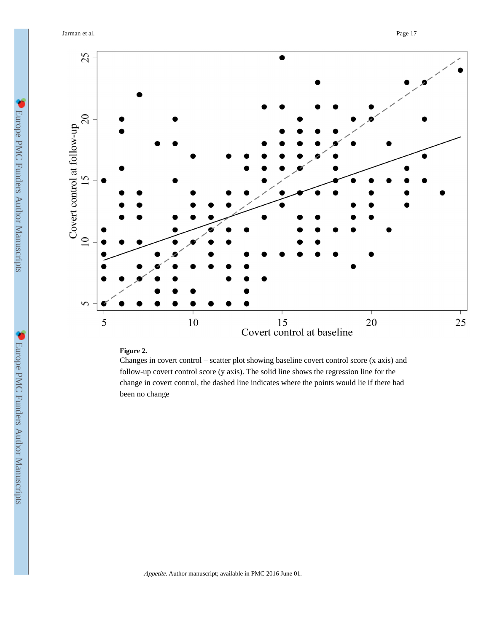

# **Figure 2.**

Changes in covert control – scatter plot showing baseline covert control score (x axis) and follow-up covert control score (y axis). The solid line shows the regression line for the change in covert control, the dashed line indicates where the points would lie if there had been no change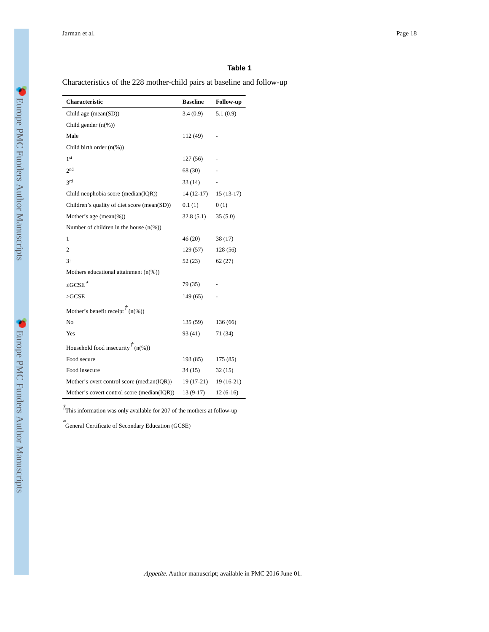# **Table 1**

Characteristics of the 228 mother-child pairs at baseline and follow-up

| Characteristic                              | <b>Baseline</b> | <b>Follow-up</b> |
|---------------------------------------------|-----------------|------------------|
| Child age (mean( $SD$ ))                    | 3.4(0.9)        | 5.1(0.9)         |
| Child gender $(n(\%))$                      |                 |                  |
| Male                                        | 112 (49)        |                  |
| Child birth order $(n(\%))$                 |                 |                  |
| 1 <sup>st</sup>                             | 127(56)         |                  |
| 2 <sub>nd</sub>                             | 68 (30)         |                  |
| 3rd                                         | 33(14)          |                  |
| Child neophobia score (median(IQR))         | $14(12-17)$     | $15(13-17)$      |
| Children's quality of diet score (mean(SD)) | 0.1(1)          | 0(1)             |
| Mother's age $(\text{mean}(\%))$            | 32.8(5.1)       | 35(5.0)          |
| Number of children in the house $(n(\%))$   |                 |                  |
| 1                                           | 46(20)          | 38(17)           |
| 2                                           | 129(57)         | 128 (56)         |
| $3+$                                        | 52(23)          | 62(27)           |
| Mothers educational attainment $(n(\%))$    |                 |                  |
| $GCSE^*$                                    | 79 (35)         |                  |
| >GCSE                                       | 149(65)         |                  |
| Mother's benefit receipt $\hat{f}(n(\%))$   |                 |                  |
| No                                          | 135(59)         | 136 (66)         |
| Yes                                         | 93 (41)         | 71 (34)          |
| Household food insecurity $\int$ (n(%))     |                 |                  |
| Food secure                                 | 193(85)         | 175 (85)         |
| Food insecure                               | 34(15)          | 32(15)           |
| Mother's overt control score (median(IQR))  | 19 (17-21)      | $19(16-21)$      |
| Mother's covert control score (median(IQR)) | 13 (9-17)       | $12(6-16)$       |

 $\dot{\tau}$ This information was only available for 207 of the mothers at follow-up

\* General Certificate of Secondary Education (GCSE)